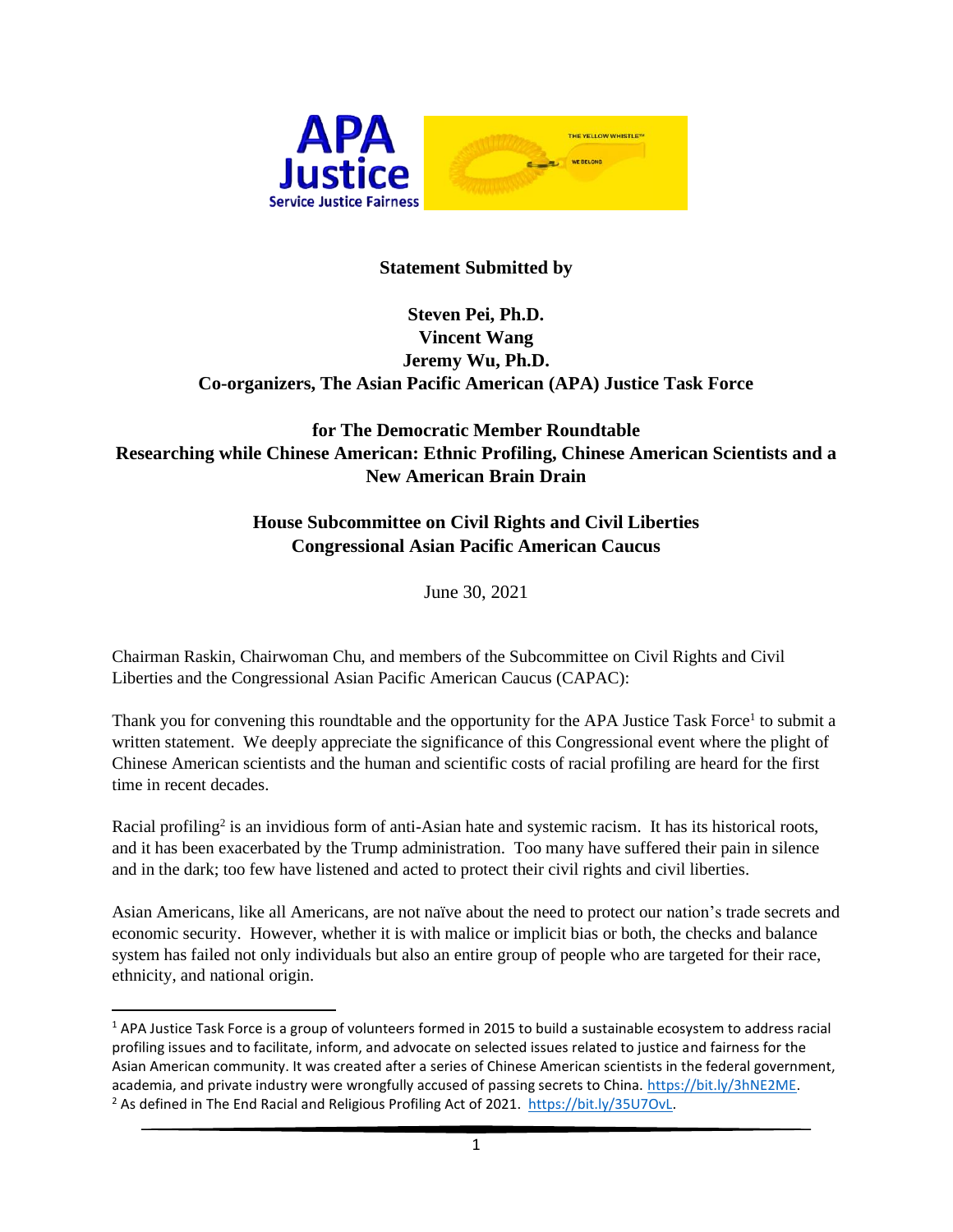

## **Statement Submitted by**

### **Steven Pei, Ph.D. Vincent Wang Jeremy Wu, Ph.D. Co-organizers, The Asian Pacific American (APA) Justice Task Force**

# **for The Democratic Member Roundtable Researching while Chinese American: Ethnic Profiling, Chinese American Scientists and a New American Brain Drain**

## **House Subcommittee on Civil Rights and Civil Liberties Congressional Asian Pacific American Caucus**

June 30, 2021

Chairman Raskin, Chairwoman Chu, and members of the Subcommittee on Civil Rights and Civil Liberties and the Congressional Asian Pacific American Caucus (CAPAC):

Thank you for convening this roundtable and the opportunity for the APA Justice Task Force<sup>1</sup> to submit a written statement. We deeply appreciate the significance of this Congressional event where the plight of Chinese American scientists and the human and scientific costs of racial profiling are heard for the first time in recent decades.

Racial profiling<sup>2</sup> is an invidious form of anti-Asian hate and systemic racism. It has its historical roots, and it has been exacerbated by the Trump administration. Too many have suffered their pain in silence and in the dark; too few have listened and acted to protect their civil rights and civil liberties.

Asian Americans, like all Americans, are not naïve about the need to protect our nation's trade secrets and economic security. However, whether it is with malice or implicit bias or both, the checks and balance system has failed not only individuals but also an entire group of people who are targeted for their race, ethnicity, and national origin.

<sup>&</sup>lt;sup>1</sup> APA Justice Task Force is a group of volunteers formed in 2015 to build a sustainable ecosystem to address racial profiling issues and to facilitate, inform, and advocate on selected issues related to justice and fairness for the Asian American community. It was created after a series of Chinese American scientists in the federal government, academia, and private industry were wrongfully accused of passing secrets to China. [https://bit.ly/3hNE2ME.](https://bit.ly/3hNE2ME) <sup>2</sup> As defined in The End Racial and Religious Profiling Act of 2021. [https://bit.ly/35U7OvL.](https://bit.ly/35U7OvL)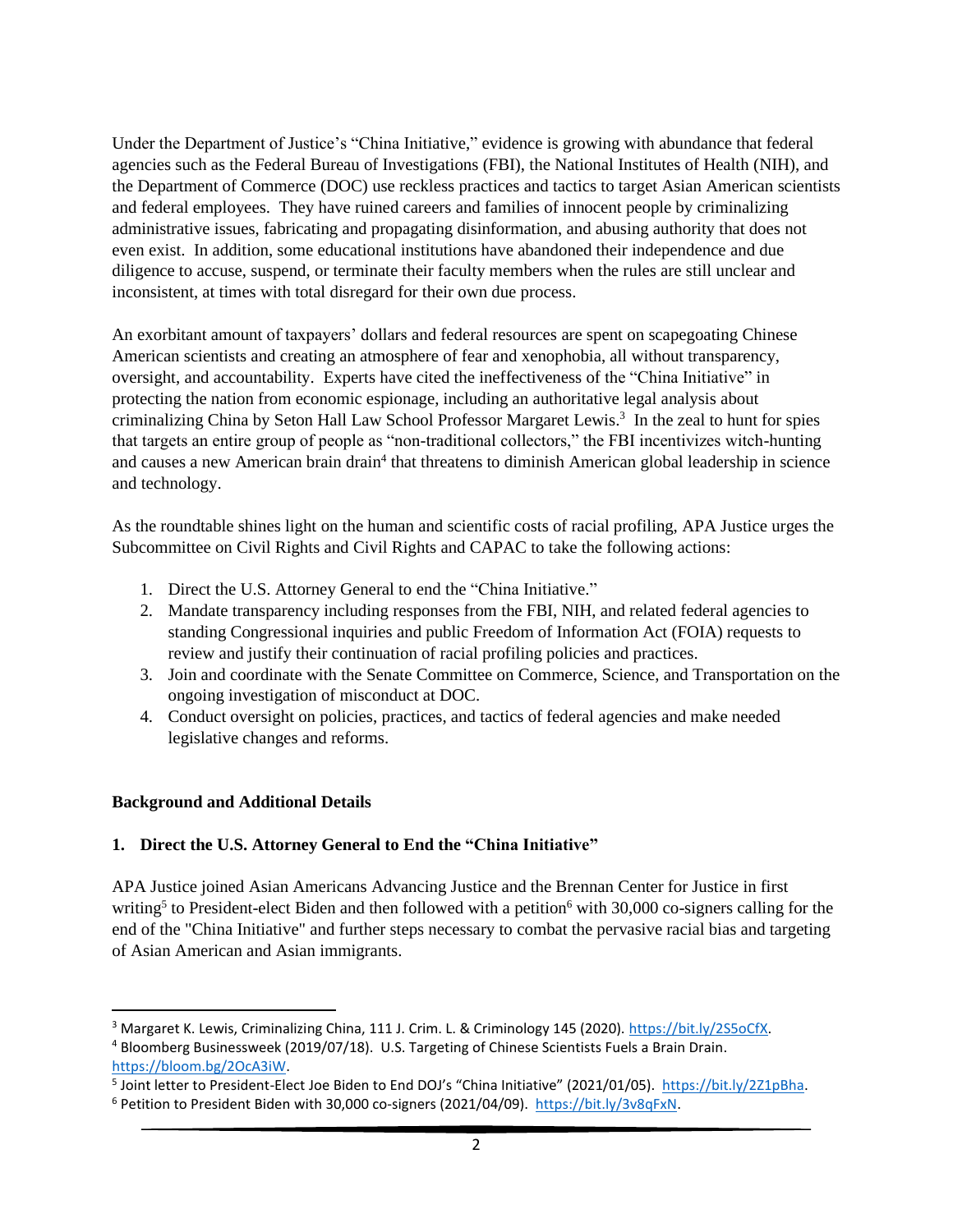Under the Department of Justice's "China Initiative," evidence is growing with abundance that federal agencies such as the Federal Bureau of Investigations (FBI), the National Institutes of Health (NIH), and the Department of Commerce (DOC) use reckless practices and tactics to target Asian American scientists and federal employees. They have ruined careers and families of innocent people by criminalizing administrative issues, fabricating and propagating disinformation, and abusing authority that does not even exist. In addition, some educational institutions have abandoned their independence and due diligence to accuse, suspend, or terminate their faculty members when the rules are still unclear and inconsistent, at times with total disregard for their own due process.

An exorbitant amount of taxpayers' dollars and federal resources are spent on scapegoating Chinese American scientists and creating an atmosphere of fear and xenophobia, all without transparency, oversight, and accountability. Experts have cited the ineffectiveness of the "China Initiative" in protecting the nation from economic espionage, including an authoritative legal analysis about criminalizing China by Seton Hall Law School Professor Margaret Lewis. 3 In the zeal to hunt for spies that targets an entire group of people as "non-traditional collectors," the FBI incentivizes witch-hunting and causes a new American brain drain<sup>4</sup> that threatens to diminish American global leadership in science and technology.

As the roundtable shines light on the human and scientific costs of racial profiling, APA Justice urges the Subcommittee on Civil Rights and Civil Rights and CAPAC to take the following actions:

- 1. Direct the U.S. Attorney General to end the "China Initiative."
- 2. Mandate transparency including responses from the FBI, NIH, and related federal agencies to standing Congressional inquiries and public Freedom of Information Act (FOIA) requests to review and justify their continuation of racial profiling policies and practices.
- 3. Join and coordinate with the Senate Committee on Commerce, Science, and Transportation on the ongoing investigation of misconduct at DOC.
- 4. Conduct oversight on policies, practices, and tactics of federal agencies and make needed legislative changes and reforms.

#### **Background and Additional Details**

### **1. Direct the U.S. Attorney General to End the "China Initiative"**

APA Justice joined Asian Americans Advancing Justice and the Brennan Center for Justice in first writing<sup>5</sup> to President-elect Biden and then followed with a petition<sup>6</sup> with 30,000 co-signers calling for the end of the "China Initiative" and further steps necessary to combat the pervasive racial bias and targeting of Asian American and Asian immigrants.

<sup>3</sup> Margaret K. Lewis, Criminalizing China, 111 J. Crim. L. & Criminology 145 (2020). [https://bit.ly/2S5oCfX.](https://bit.ly/2S5oCfX)

<sup>4</sup> Bloomberg Businessweek (2019/07/18). U.S. Targeting of Chinese Scientists Fuels a Brain Drain. [https://bloom.bg/2OcA3iW.](https://bloom.bg/2OcA3iW)

<sup>&</sup>lt;sup>5</sup> Joint letter to President-Elect Joe Biden to End DOJ's "China Initiative" (2021/01/05). [https://bit.ly/2Z1pBha.](https://bit.ly/2Z1pBha)

<sup>&</sup>lt;sup>6</sup> Petition to President Biden with 30,000 co-signers (2021/04/09). [https://bit.ly/3v8qFxN.](https://bit.ly/3v8qFxN)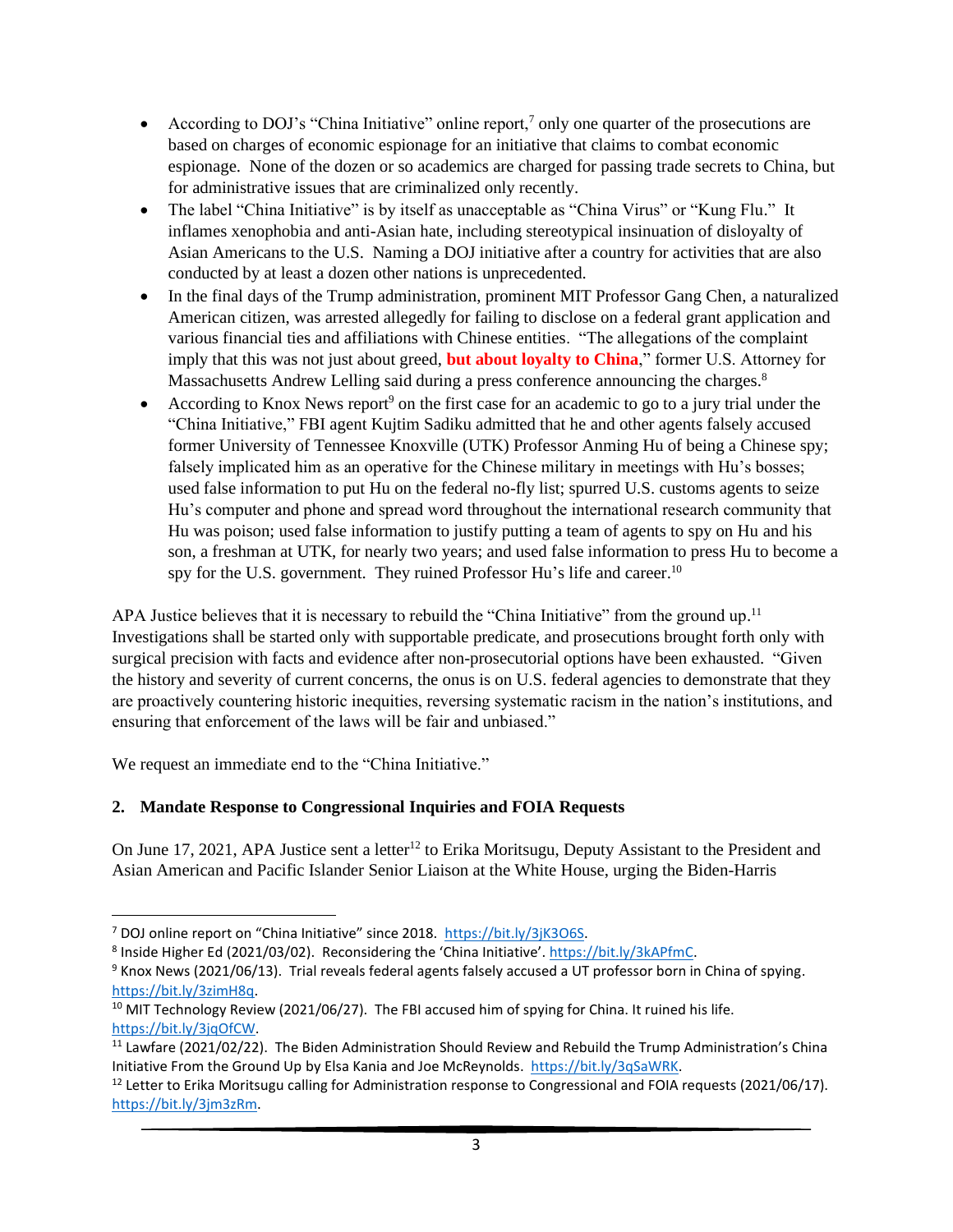- According to DOJ's "China Initiative" online report,<sup>7</sup> only one quarter of the prosecutions are based on charges of economic espionage for an initiative that claims to combat economic espionage. None of the dozen or so academics are charged for passing trade secrets to China, but for administrative issues that are criminalized only recently.
- The label "China Initiative" is by itself as unacceptable as "China Virus" or "Kung Flu." It inflames xenophobia and anti-Asian hate, including stereotypical insinuation of disloyalty of Asian Americans to the U.S. Naming a DOJ initiative after a country for activities that are also conducted by at least a dozen other nations is unprecedented.
- In the final days of the Trump administration, prominent MIT Professor Gang Chen, a naturalized American citizen, was arrested allegedly for failing to disclose on a federal grant application and various financial ties and affiliations with Chinese entities. "The allegations of the complaint imply that this was not just about greed, **but about loyalty to China**," former U.S. Attorney for Massachusetts Andrew Lelling said during a press conference announcing the charges.<sup>8</sup>
- According to Knox News report<sup>9</sup> on the first case for an academic to go to a jury trial under the "China Initiative," FBI agent Kujtim Sadiku admitted that he and other agents falsely accused former University of Tennessee Knoxville (UTK) Professor Anming Hu of being a Chinese spy; falsely implicated him as an operative for the Chinese military in meetings with Hu's bosses; used false information to put Hu on the federal no-fly list; spurred U.S. customs agents to seize Hu's computer and phone and spread word throughout the international research community that Hu was poison; used false information to justify putting a team of agents to spy on Hu and his son, a freshman at UTK, for nearly two years; and used false information to press Hu to become a spy for the U.S. government. They ruined Professor Hu's life and career.<sup>10</sup>

APA Justice believes that it is necessary to rebuild the "China Initiative" from the ground up.<sup>11</sup> Investigations shall be started only with supportable predicate, and prosecutions brought forth only with surgical precision with facts and evidence after non-prosecutorial options have been exhausted. "Given the history and severity of current concerns, the onus is on U.S. federal agencies to demonstrate that they are proactively countering historic inequities, reversing systematic racism in the nation's institutions, and ensuring that enforcement of the laws will be fair and unbiased."

We request an immediate end to the "China Initiative."

#### **2. Mandate Response to Congressional Inquiries and FOIA Requests**

On June 17, 2021, APA Justice sent a letter<sup>12</sup> to Erika Moritsugu, Deputy Assistant to the President and Asian American and Pacific Islander Senior Liaison at the White House, urging the Biden-Harris

<sup>7</sup> DOJ online report on "China Initiative" since 2018. [https://bit.ly/3jK3O6S.](https://bit.ly/3jK3O6S)

<sup>&</sup>lt;sup>8</sup> Inside Higher Ed (2021/03/02). Reconsidering the 'China Initiative'. [https://bit.ly/3kAPfmC.](https://bit.ly/3kAPfmC)

<sup>&</sup>lt;sup>9</sup> Knox News (2021/06/13). Trial reveals federal agents falsely accused a UT professor born in China of spying. [https://bit.ly/3zimH8q.](https://bit.ly/3zimH8q) 

<sup>&</sup>lt;sup>10</sup> MIT Technology Review (2021/06/27). The FBI accused him of spying for China. It ruined his life. [https://bit.ly/3jqOfCW.](https://bit.ly/3jqOfCW)

 $11$  Lawfare (2021/02/22). The Biden Administration Should Review and Rebuild the Trump Administration's China Initiative From the Ground Up by Elsa Kania and Joe McReynolds. [https://bit.ly/3qSaWRK.](https://bit.ly/3qSaWRK)

 $12$  Letter to Erika Moritsugu calling for Administration response to Congressional and FOIA requests (2021/06/17). [https://bit.ly/3jm3zRm.](https://bit.ly/3jm3zRm)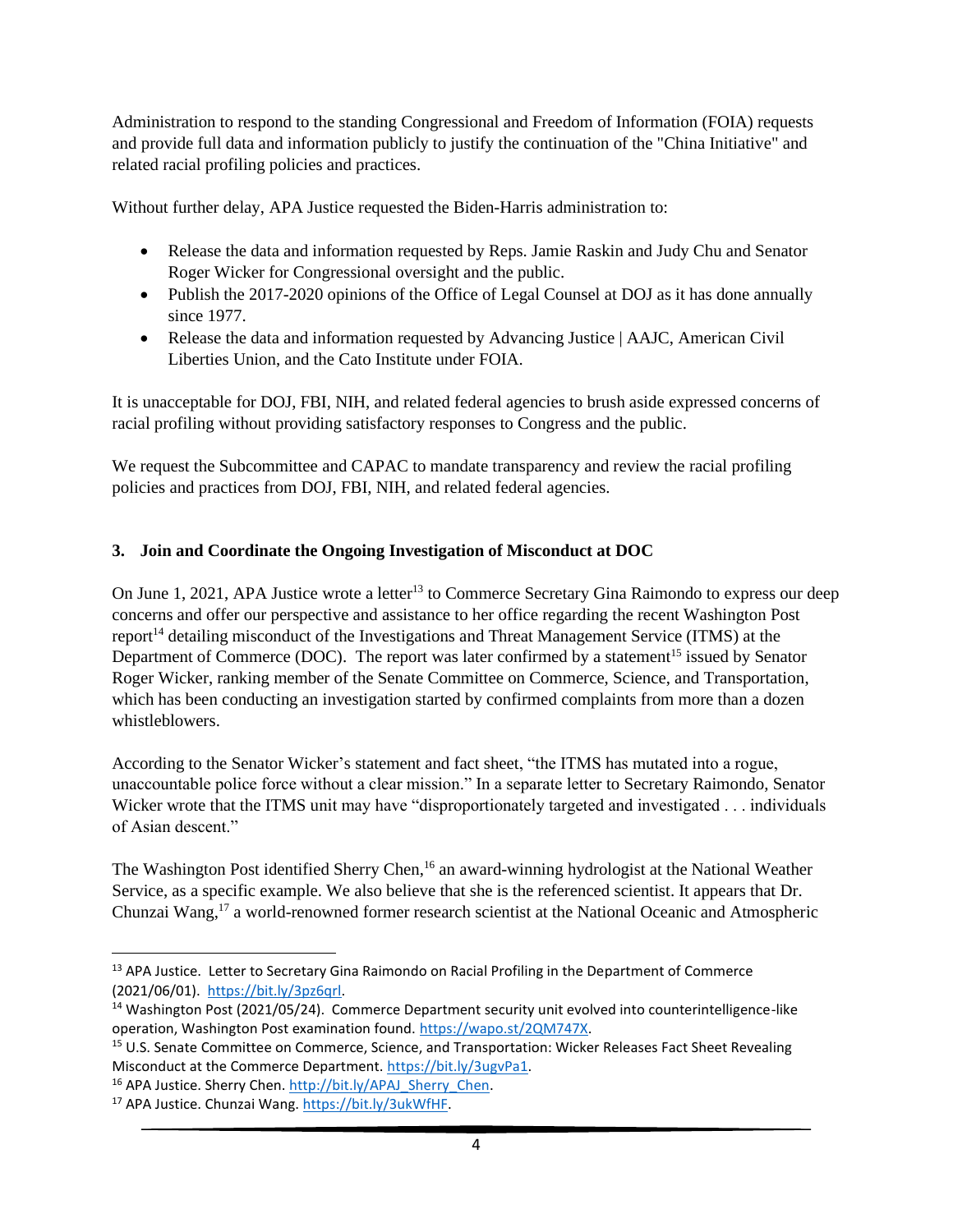Administration to respond to the standing Congressional and Freedom of Information (FOIA) requests and provide full data and information publicly to justify the continuation of the "China Initiative" and related racial profiling policies and practices.

Without further delay, APA Justice requested the Biden-Harris administration to:

- Release the data and information requested by Reps. Jamie Raskin and Judy Chu and Senator Roger Wicker for Congressional oversight and the public.
- Publish the 2017-2020 opinions of the Office of Legal Counsel at DOJ as it has done annually since 1977.
- Release the data and information requested by Advancing Justice | AAJC, American Civil Liberties Union, and the Cato Institute under FOIA.

It is unacceptable for DOJ, FBI, NIH, and related federal agencies to brush aside expressed concerns of racial profiling without providing satisfactory responses to Congress and the public.

We request the Subcommittee and CAPAC to mandate transparency and review the racial profiling policies and practices from DOJ, FBI, NIH, and related federal agencies.

### **3. Join and Coordinate the Ongoing Investigation of Misconduct at DOC**

On June 1, 2021, APA Justice wrote a letter<sup>13</sup> to Commerce Secretary Gina Raimondo to express our deep concerns and offer our perspective and assistance to her office regarding the recent Washington Post report<sup>14</sup> detailing misconduct of the Investigations and Threat Management Service (ITMS) at the Department of Commerce (DOC). The report was later confirmed by a statement<sup>15</sup> issued by Senator Roger Wicker, ranking member of the Senate Committee on Commerce, Science, and Transportation, which has been conducting an investigation started by confirmed complaints from more than a dozen whistleblowers.

According to the Senator Wicker's statement and fact sheet, "the ITMS has mutated into a rogue, unaccountable police force without a clear mission." In a separate letter to Secretary Raimondo, Senator Wicker wrote that the ITMS unit may have "disproportionately targeted and investigated . . . individuals of Asian descent."

The Washington Post identified Sherry Chen,<sup>16</sup> an award-winning hydrologist at the National Weather Service, as a specific example. We also believe that she is the referenced scientist. It appears that Dr. Chunzai Wang,<sup>17</sup> a world-renowned former research scientist at the National Oceanic and Atmospheric

<sup>&</sup>lt;sup>13</sup> APA Justice. Letter to Secretary Gina Raimondo on Racial Profiling in the Department of Commerce (2021/06/01). [https://bit.ly/3pz6qrl.](https://bit.ly/3pz6qrl) 

<sup>&</sup>lt;sup>14</sup> Washington Post (2021/05/24). Commerce Department security unit evolved into counterintelligence-like operation, Washington Post examination found[. https://wapo.st/2QM747X.](https://wapo.st/2QM747X)

<sup>15</sup> U.S. Senate Committee on Commerce, Science, and Transportation: Wicker Releases Fact Sheet Revealing Misconduct at the Commerce Department. [https://bit.ly/3ugvPa1.](https://bit.ly/3ugvPa1)

<sup>&</sup>lt;sup>16</sup> APA Justice. Sherry Chen. [http://bit.ly/APAJ\\_Sherry\\_Chen.](http://bit.ly/APAJ_Sherry_Chen)

<sup>&</sup>lt;sup>17</sup> APA Justice. Chunzai Wang[. https://bit.ly/3ukWfHF.](https://bit.ly/3ukWfHF)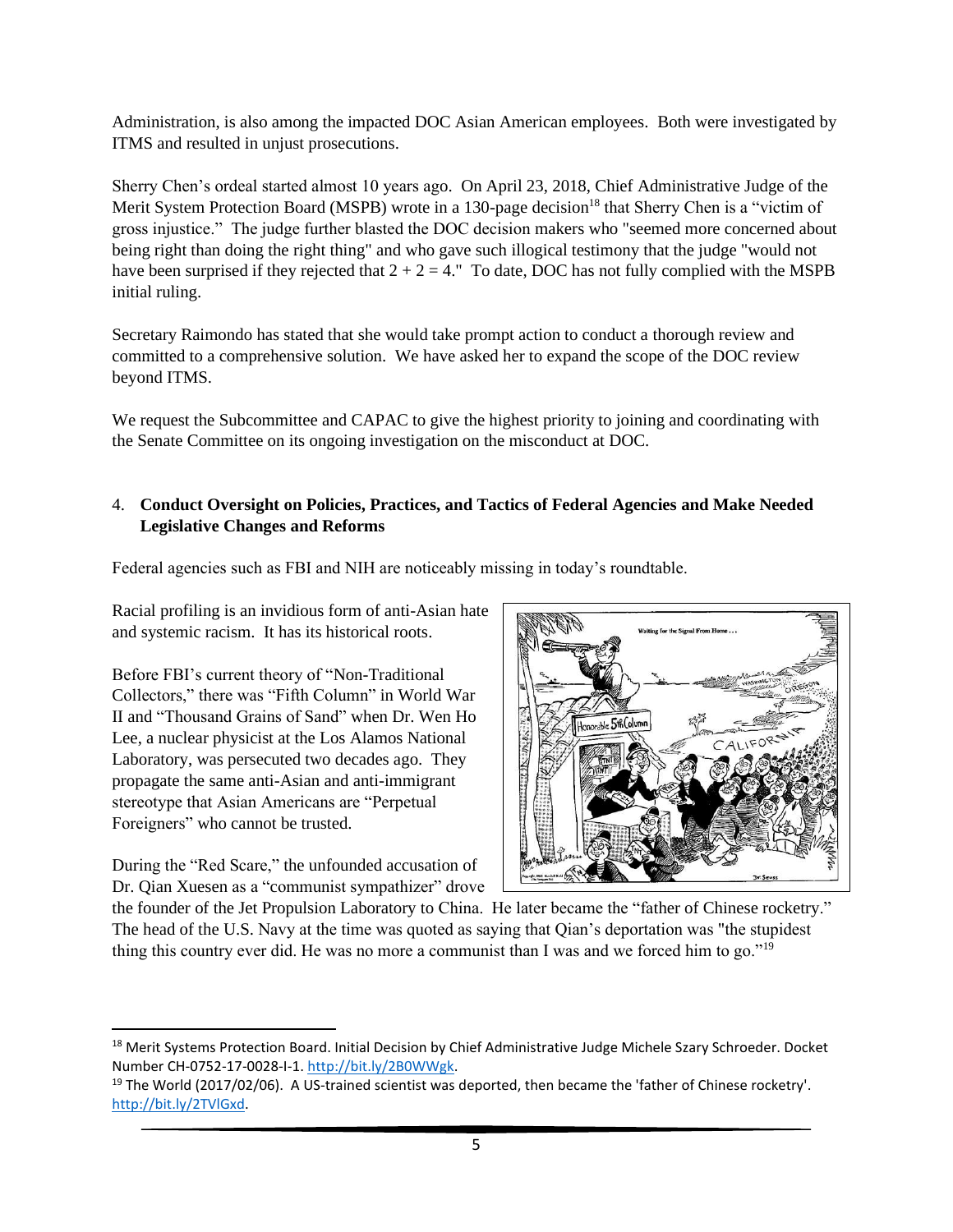Administration, is also among the impacted DOC Asian American employees. Both were investigated by ITMS and resulted in unjust prosecutions.

Sherry Chen's ordeal started almost 10 years ago. On April 23, 2018, Chief Administrative Judge of the Merit System Protection Board (MSPB) wrote in a 130-page decision<sup>18</sup> that Sherry Chen is a "victim of gross injustice." The judge further blasted the DOC decision makers who "seemed more concerned about being right than doing the right thing" and who gave such illogical testimony that the judge "would not have been surprised if they rejected that  $2 + 2 = 4$ ." To date, DOC has not fully complied with the MSPB initial ruling.

Secretary Raimondo has stated that she would take prompt action to conduct a thorough review and committed to a comprehensive solution. We have asked her to expand the scope of the DOC review beyond ITMS.

We request the Subcommittee and CAPAC to give the highest priority to joining and coordinating with the Senate Committee on its ongoing investigation on the misconduct at DOC.

### 4. **Conduct Oversight on Policies, Practices, and Tactics of Federal Agencies and Make Needed Legislative Changes and Reforms**

Federal agencies such as FBI and NIH are noticeably missing in today's roundtable.

Racial profiling is an invidious form of anti-Asian hate and systemic racism. It has its historical roots.

Before FBI's current theory of "Non-Traditional Collectors," there was "Fifth Column" in World War II and "Thousand Grains of Sand" when Dr. Wen Ho Lee, a nuclear physicist at the Los Alamos National Laboratory, was persecuted two decades ago. They propagate the same anti-Asian and anti-immigrant stereotype that Asian Americans are "Perpetual Foreigners" who cannot be trusted.

During the "Red Scare," the unfounded accusation of Dr. Qian Xuesen as a "communist sympathizer" drove



the founder of the Jet Propulsion Laboratory to China. He later became the "father of Chinese rocketry." The head of the U.S. Navy at the time was quoted as saying that Qian's deportation was "the stupidest thing this country ever did. He was no more a communist than I was and we forced him to go."<sup>19</sup>

<sup>&</sup>lt;sup>18</sup> Merit Systems Protection Board. Initial Decision by Chief Administrative Judge Michele Szary Schroeder. Docket Number CH-0752-17-0028-I-1[. http://bit.ly/2B0WWgk.](http://bit.ly/2B0WWgk)

<sup>&</sup>lt;sup>19</sup> The World (2017/02/06). A US-trained scientist was deported, then became the 'father of Chinese rocketry'. [http://bit.ly/2TVlGxd.](http://bit.ly/2TVlGxd)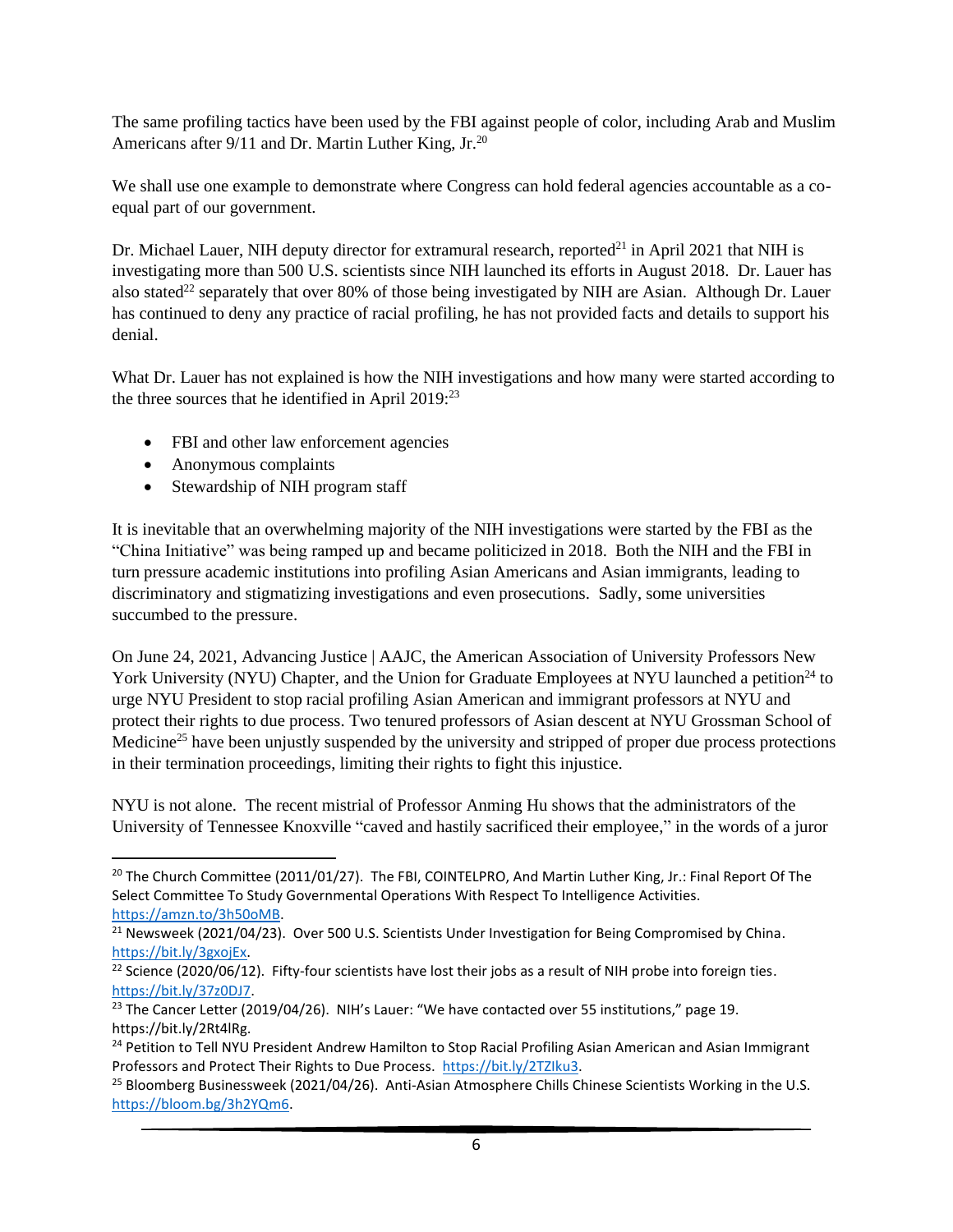The same profiling tactics have been used by the FBI against people of color, including Arab and Muslim Americans after 9/11 and Dr. Martin Luther King, Jr.<sup>20</sup>

We shall use one example to demonstrate where Congress can hold federal agencies accountable as a coequal part of our government.

Dr. Michael Lauer, NIH deputy director for extramural research, reported<sup>21</sup> in April 2021 that NIH is investigating more than 500 U.S. scientists since NIH launched its efforts in August 2018. Dr. Lauer has also stated<sup>22</sup> separately that over 80% of those being investigated by NIH are Asian. Although Dr. Lauer has continued to deny any practice of racial profiling, he has not provided facts and details to support his denial.

What Dr. Lauer has not explained is how the NIH investigations and how many were started according to the three sources that he identified in April 2019:<sup>23</sup>

- FBI and other law enforcement agencies
- Anonymous complaints
- Stewardship of NIH program staff

It is inevitable that an overwhelming majority of the NIH investigations were started by the FBI as the "China Initiative" was being ramped up and became politicized in 2018. Both the NIH and the FBI in turn pressure academic institutions into profiling Asian Americans and Asian immigrants, leading to discriminatory and stigmatizing investigations and even prosecutions. Sadly, some universities succumbed to the pressure.

On June 24, 2021, Advancing Justice | AAJC, the American Association of University Professors New York University (NYU) Chapter, and the Union for Graduate Employees at NYU launched a petition<sup>24</sup> to urge NYU President to stop racial profiling Asian American and immigrant professors at NYU and protect their rights to due process. Two tenured professors of Asian descent at NYU Grossman School of Medicine<sup>25</sup> have been unjustly suspended by the university and stripped of proper due process protections in their termination proceedings, limiting their rights to fight this injustice.

NYU is not alone. The recent mistrial of Professor Anming Hu shows that the administrators of the University of Tennessee Knoxville "caved and hastily sacrificed their employee," in the words of a juror

<sup>&</sup>lt;sup>20</sup> The Church Committee (2011/01/27). The FBI, COINTELPRO, And Martin Luther King, Jr.: Final Report Of The Select Committee To Study Governmental Operations With Respect To Intelligence Activities. [https://amzn.to/3h50oMB.](https://amzn.to/3h50oMB)

<sup>&</sup>lt;sup>21</sup> Newsweek (2021/04/23). Over 500 U.S. Scientists Under Investigation for Being Compromised by China. [https://bit.ly/3gxojEx.](https://bit.ly/3gxojEx)

<sup>&</sup>lt;sup>22</sup> Science (2020/06/12). Fifty-four scientists have lost their jobs as a result of NIH probe into foreign ties. [https://bit.ly/37z0DJ7.](https://bit.ly/37z0DJ7)

<sup>&</sup>lt;sup>23</sup> The Cancer Letter (2019/04/26). NIH's Lauer: "We have contacted over 55 institutions," page 19. https://bit.ly/2Rt4lRg.

<sup>&</sup>lt;sup>24</sup> Petition to Tell NYU President Andrew Hamilton to Stop Racial Profiling Asian American and Asian Immigrant Professors and Protect Their Rights to Due Process. [https://bit.ly/2TZIku3.](https://bit.ly/2TZIku3)

<sup>&</sup>lt;sup>25</sup> Bloomberg Businessweek (2021/04/26). Anti-Asian Atmosphere Chills Chinese Scientists Working in the U.S. [https://bloom.bg/3h2YQm6.](https://bloom.bg/3h2YQm6)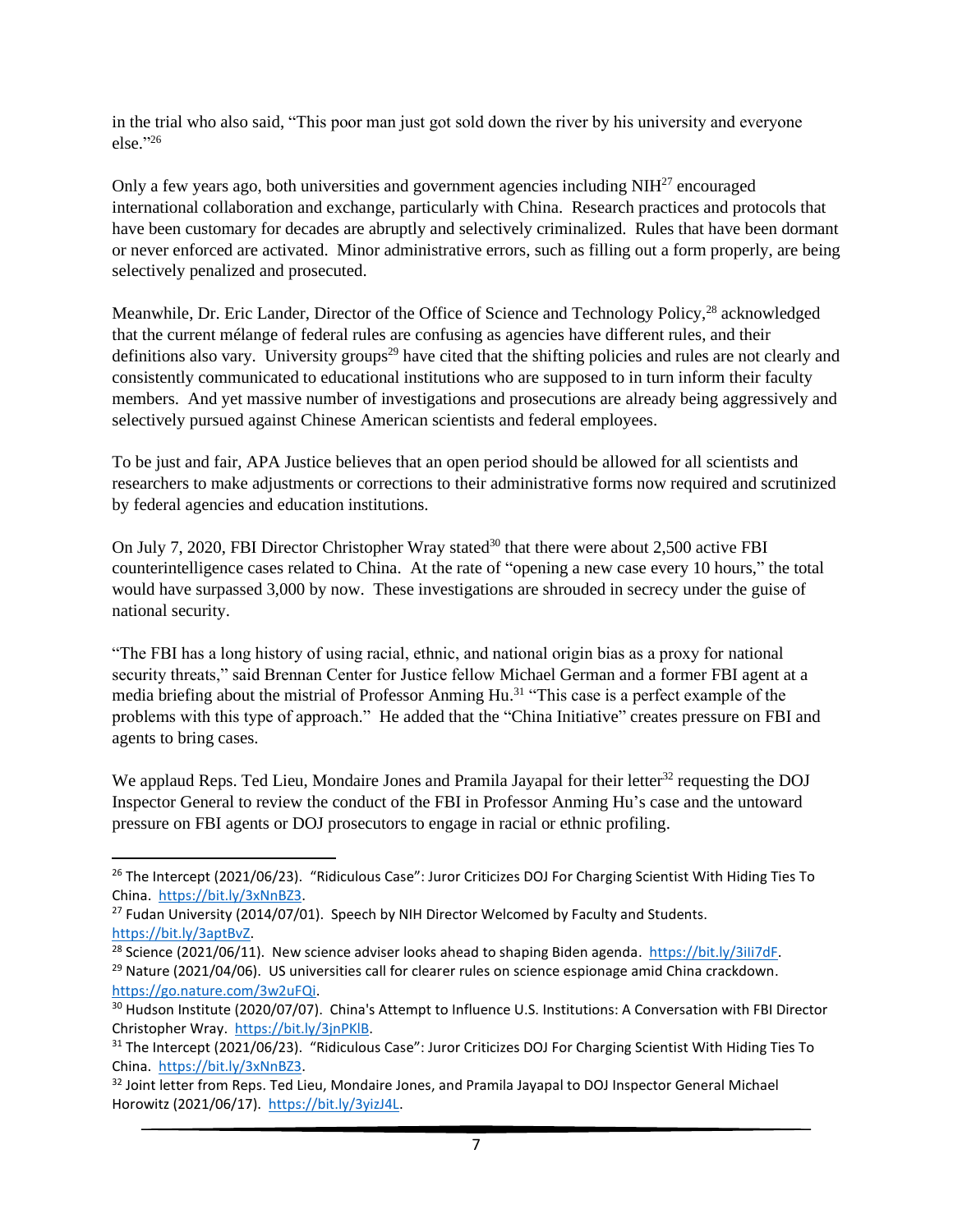in the trial who also said, "This poor man just got sold down the river by his university and everyone else." 26

Only a few years ago, both universities and government agencies including NIH<sup>27</sup> encouraged international collaboration and exchange, particularly with China. Research practices and protocols that have been customary for decades are abruptly and selectively criminalized. Rules that have been dormant or never enforced are activated. Minor administrative errors, such as filling out a form properly, are being selectively penalized and prosecuted.

Meanwhile, Dr. Eric Lander, Director of the Office of Science and Technology Policy,<sup>28</sup> acknowledged that the current mélange of federal rules are confusing as agencies have different rules, and their definitions also vary. University groups<sup>29</sup> have cited that the shifting policies and rules are not clearly and consistently communicated to educational institutions who are supposed to in turn inform their faculty members. And yet massive number of investigations and prosecutions are already being aggressively and selectively pursued against Chinese American scientists and federal employees.

To be just and fair, APA Justice believes that an open period should be allowed for all scientists and researchers to make adjustments or corrections to their administrative forms now required and scrutinized by federal agencies and education institutions.

On July 7, 2020, FBI Director Christopher Wray stated<sup>30</sup> that there were about 2,500 active FBI counterintelligence cases related to China. At the rate of "opening a new case every 10 hours," the total would have surpassed 3,000 by now. These investigations are shrouded in secrecy under the guise of national security.

"The FBI has a long history of using racial, ethnic, and national origin bias as a proxy for national security threats," said Brennan Center for Justice fellow Michael German and a former FBI agent at a media briefing about the mistrial of Professor Anming Hu.<sup>31</sup> "This case is a perfect example of the problems with this type of approach." He added that the "China Initiative" creates pressure on FBI and agents to bring cases.

We applaud Reps. Ted Lieu, Mondaire Jones and Pramila Jayapal for their letter<sup>32</sup> requesting the DOJ Inspector General to review the conduct of the FBI in Professor Anming Hu's case and the untoward pressure on FBI agents or DOJ prosecutors to engage in racial or ethnic profiling.

<sup>&</sup>lt;sup>26</sup> The Intercept (2021/06/23). "Ridiculous Case": Juror Criticizes DOJ For Charging Scientist With Hiding Ties To China. [https://bit.ly/3xNnBZ3.](https://bit.ly/3xNnBZ3)

<sup>&</sup>lt;sup>27</sup> Fudan University (2014/07/01). Speech by NIH Director Welcomed by Faculty and Students. [https://bit.ly/3aptBvZ.](https://bit.ly/3aptBvZ)

<sup>&</sup>lt;sup>28</sup> Science (2021/06/11). New science adviser looks ahead to shaping Biden agenda. [https://bit.ly/3iIi7dF.](https://bit.ly/3iIi7dF)

 $29$  Nature (2021/04/06). US universities call for clearer rules on science espionage amid China crackdown. [https://go.nature.com/3w2uFQi.](https://go.nature.com/3w2uFQi)

<sup>&</sup>lt;sup>30</sup> Hudson Institute (2020/07/07). China's Attempt to Influence U.S. Institutions: A Conversation with FBI Director Christopher Wray. [https://bit.ly/3jnPKlB.](https://bit.ly/3jnPKlB)

<sup>&</sup>lt;sup>31</sup> The Intercept (2021/06/23). "Ridiculous Case": Juror Criticizes DOJ For Charging Scientist With Hiding Ties To China. [https://bit.ly/3xNnBZ3.](https://bit.ly/3xNnBZ3)

<sup>32</sup> Joint letter from Reps. Ted Lieu, Mondaire Jones, and Pramila Jayapal to DOJ Inspector General Michael Horowitz (2021/06/17). [https://bit.ly/3yizJ4L.](https://bit.ly/3yizJ4L)